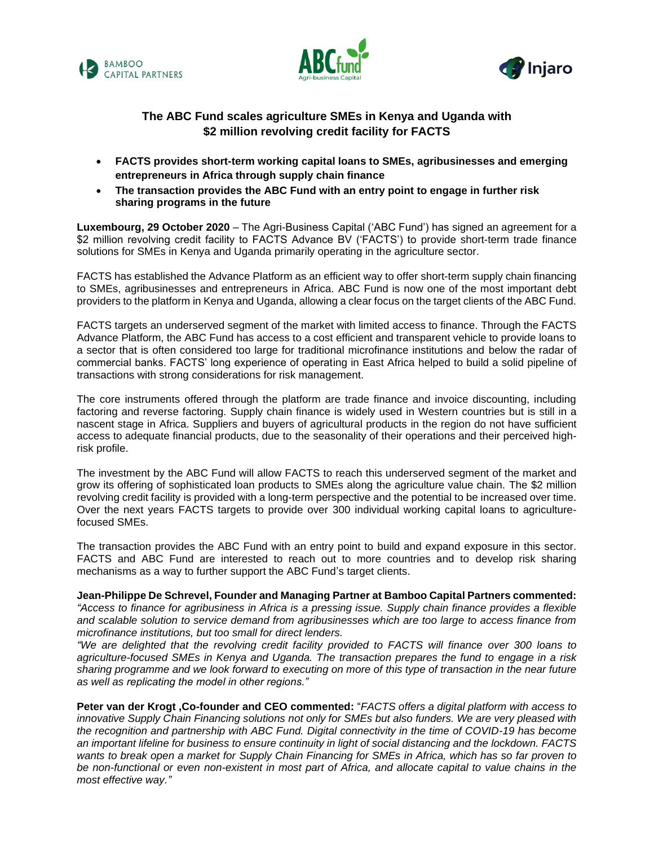





## **The ABC Fund scales agriculture SMEs in Kenya and Uganda with \$2 million revolving credit facility for FACTS**

- **FACTS provides short-term working capital loans to SMEs, agribusinesses and emerging entrepreneurs in Africa through supply chain finance**
- **The transaction provides the ABC Fund with an entry point to engage in further risk sharing programs in the future**

**Luxembourg, 29 October 2020** – The Agri-Business Capital ('ABC Fund') has signed an agreement for a \$2 million revolving credit facility to FACTS Advance BV ('FACTS') to provide short-term trade finance solutions for SMEs in Kenya and Uganda primarily operating in the agriculture sector.

FACTS has established the Advance Platform as an efficient way to offer short-term supply chain financing to SMEs, agribusinesses and entrepreneurs in Africa. ABC Fund is now one of the most important debt providers to the platform in Kenya and Uganda, allowing a clear focus on the target clients of the ABC Fund.

FACTS targets an underserved segment of the market with limited access to finance. Through the FACTS Advance Platform, the ABC Fund has access to a cost efficient and transparent vehicle to provide loans to a sector that is often considered too large for traditional microfinance institutions and below the radar of commercial banks. FACTS' long experience of operating in East Africa helped to build a solid pipeline of transactions with strong considerations for risk management.

The core instruments offered through the platform are trade finance and invoice discounting, including factoring and reverse factoring. Supply chain finance is widely used in Western countries but is still in a nascent stage in Africa. Suppliers and buyers of agricultural products in the region do not have sufficient access to adequate financial products, due to the seasonality of their operations and their perceived highrisk profile.

The investment by the ABC Fund will allow FACTS to reach this underserved segment of the market and grow its offering of sophisticated loan products to SMEs along the agriculture value chain. The \$2 million revolving credit facility is provided with a long-term perspective and the potential to be increased over time. Over the next years FACTS targets to provide over 300 individual working capital loans to agriculturefocused SMEs.

The transaction provides the ABC Fund with an entry point to build and expand exposure in this sector. FACTS and ABC Fund are interested to reach out to more countries and to develop risk sharing mechanisms as a way to further support the ABC Fund's target clients.

# **Jean-Philippe De Schrevel, Founder and Managing Partner at Bamboo Capital Partners commented:**

*"Access to finance for agribusiness in Africa is a pressing issue. Supply chain finance provides a flexible and scalable solution to service demand from agribusinesses which are too large to access finance from microfinance institutions, but too small for direct lenders.* 

*"We are delighted that the revolving credit facility provided to FACTS will finance over 300 loans to agriculture-focused SMEs in Kenya and Uganda. The transaction prepares the fund to engage in a risk sharing programme and we look forward to executing on more of this type of transaction in the near future as well as replicating the model in other regions."*

**Peter van der Krogt ,Co-founder and CEO commented:** "*FACTS offers a digital platform with access to innovative Supply Chain Financing solutions not only for SMEs but also funders. We are very pleased with the recognition and partnership with ABC Fund. Digital connectivity in the time of COVID-19 has become an important lifeline for business to ensure continuity in light of social distancing and the lockdown. FACTS wants to break open a market for Supply Chain Financing for SMEs in Africa, which has so far proven to be non-functional or even non-existent in most part of Africa, and allocate capital to value chains in the most effective way."*